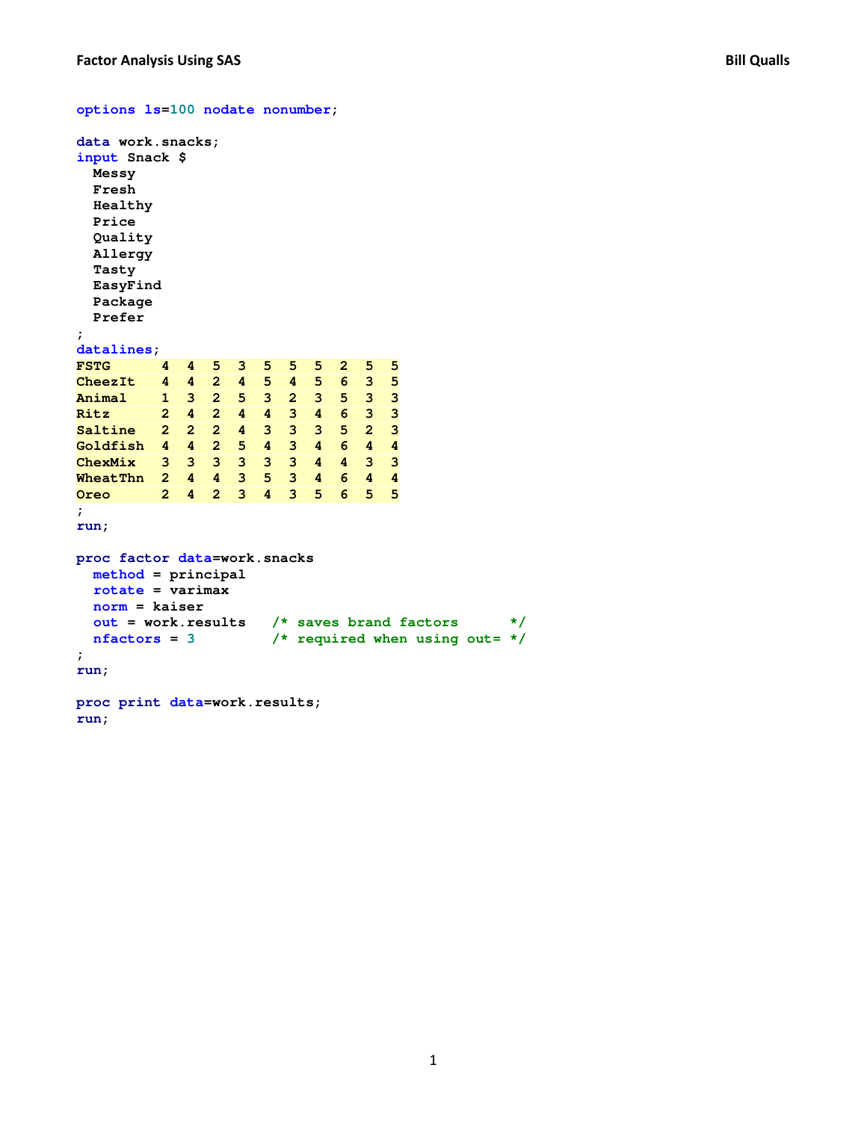```
options ls=100 nodate nonumber;
```

```
data work.snacks; 
input Snack $ 
  Messy 
  Fresh 
  Healthy 
  Price 
  Quality 
  Allergy 
  Tasty 
  EasyFind 
  Package 
  Prefer 
; 
datalines; 
FSTG 4 4 5 3 5 5 5 2 5 5 
CheezIt 4 4 2 4 5 4 5 6 3 5 
Animal 1 3 2 5 3 2 3 5 3 3 
Ritz 2 4 2 4 4 3 4 6 3 3 
Saltine 2 2 2 4 3 3 3 5 2 3 
Goldfish 4 4 2 5 4 3 4 6 4 4 
ChexMix 3 3 3 3 3 3 4 4 3 3 
WheatThn 2 4 4 3 5 3 4 6 4 4 
Oreo 2 4 2 3 4 3 5 6 5 5 
; 
run; 
proc factor data=work.snacks 
  method = principal 
  rotate = varimax 
  norm = kaiser 
  out = work.results /* saves brand factors */
  nfactors = 3 /* required when using out= */
; 
run; 
proc print data=work.results; 
run;
```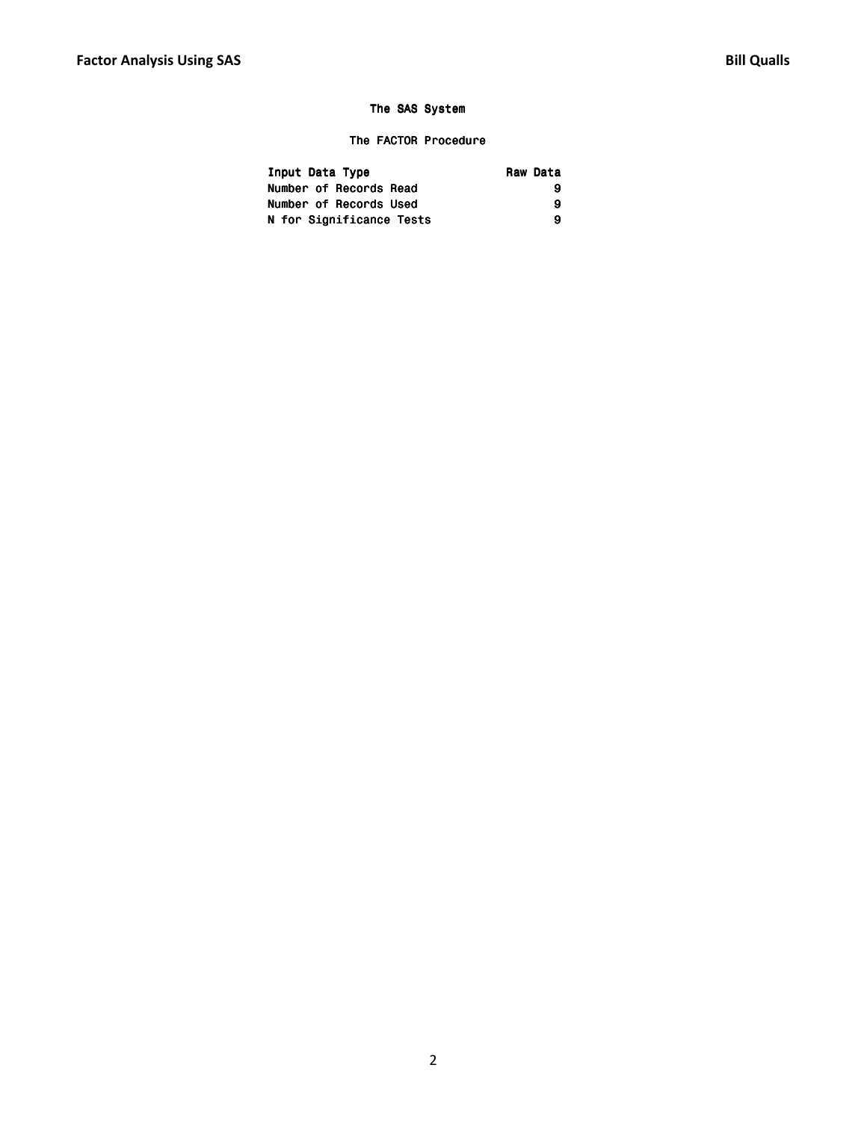# The FACTOR Procedure

| Input Data Type          | Raw Data |
|--------------------------|----------|
| Number of Records Read   |          |
| Number of Records Used   | 9        |
| N for Significance Tests | Q        |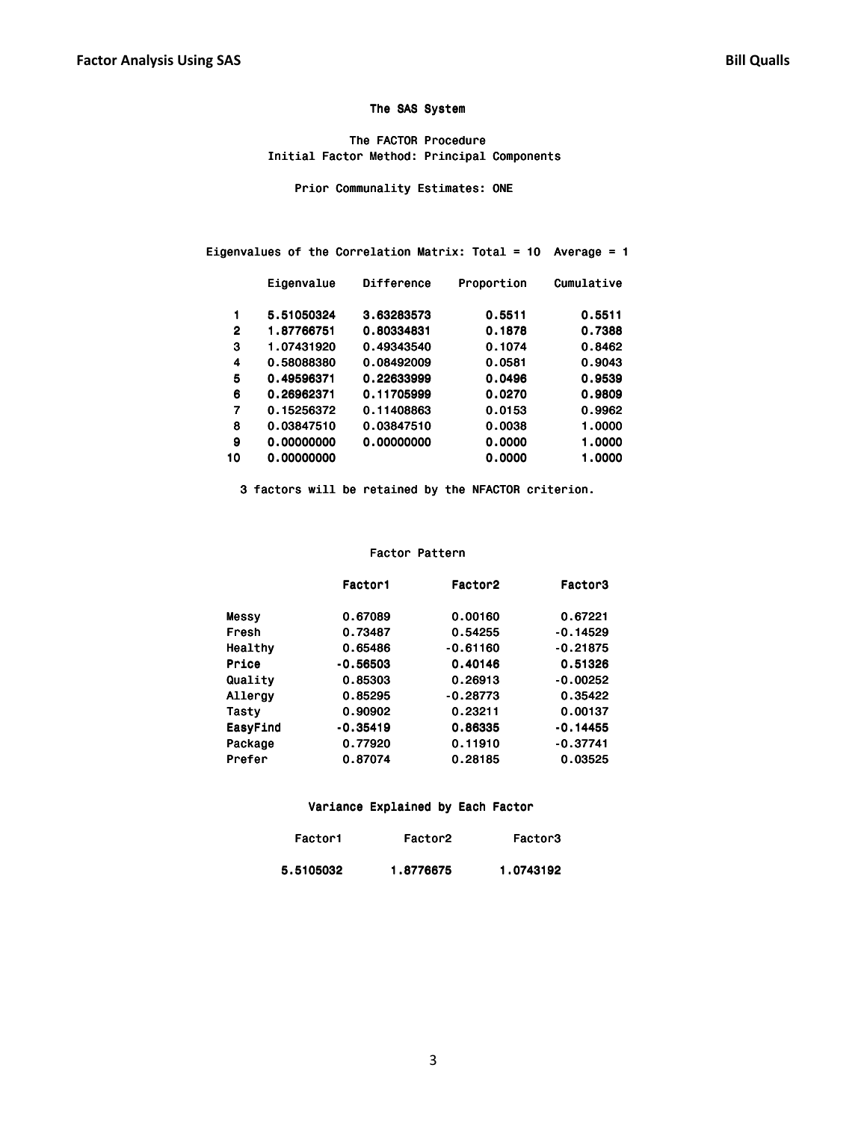The FACTOR Procedure Initial Factor Method: Principal Components

Prior Communality Estimates: ONE

|    | Eigenvalues of the Correlation Matrix: Total = 10<br>Average $= 1$ |                   |            |            |  |  |  |  |
|----|--------------------------------------------------------------------|-------------------|------------|------------|--|--|--|--|
|    | Eigenvalue                                                         | <b>Difference</b> | Proportion | Cumulative |  |  |  |  |
| 1  | 5.51050324                                                         | 3.63283573        | 0.5511     | 0.5511     |  |  |  |  |
| 2  | 1.87766751                                                         | 0.80334831        | 0.1878     | 0.7388     |  |  |  |  |
| 3  | 1.07431920                                                         | 0.49343540        | 0.1074     | 0.8462     |  |  |  |  |
| 4  | 0.58088380                                                         | 0.08492009        | 0.0581     | 0.9043     |  |  |  |  |
| 5  | 0.49596371                                                         | 0.22633999        | 0.0496     | 0.9539     |  |  |  |  |
| 6  | 0.26962371                                                         | 0.11705999        | 0.0270     | 0.9809     |  |  |  |  |
| 7  | 0.15256372                                                         | 0.11408863        | 0.0153     | 0.9962     |  |  |  |  |
| 8  | 0.03847510                                                         | 0.03847510        | 0.0038     | 1.0000     |  |  |  |  |
| 9  | 0.00000000                                                         | 0.00000000        | 0.0000     | 1.0000     |  |  |  |  |
| 10 | 0.00000000                                                         |                   | 0.0000     | 1.0000     |  |  |  |  |

3 factors will be retained by the NFACTOR criterion.

#### Factor Pattern

|          | Factor1    | Factor <sub>2</sub> | Factor3    |
|----------|------------|---------------------|------------|
| Messy    | 0.67089    | 0.00160             | 0.67221    |
| Fresh    | 0.73487    | 0.54255             | $-0.14529$ |
| Healthy  | 0.65486    | $-0.61160$          | $-0.21875$ |
| Price    | $-0.56503$ | 0.40146             | 0.51326    |
| Quality  | 0.85303    | 0.26913             | $-0.00252$ |
| Allergy  | 0.85295    | $-0.28773$          | 0.35422    |
| Tasty    | 0.90902    | 0.23211             | 0.00137    |
| EasyFind | $-0.35419$ | 0.86335             | $-0.14455$ |
| Package  | 0.77920    | 0.11910             | $-0.37741$ |
| Prefer   | 0.87074    | 0.28185             | 0.03525    |
|          |            |                     |            |

#### Variance Explained by Each Factor

| Factor1   | Factor <sub>2</sub> | Factor3   |
|-----------|---------------------|-----------|
| 5.5105032 | 1.8776675           | 1.0743192 |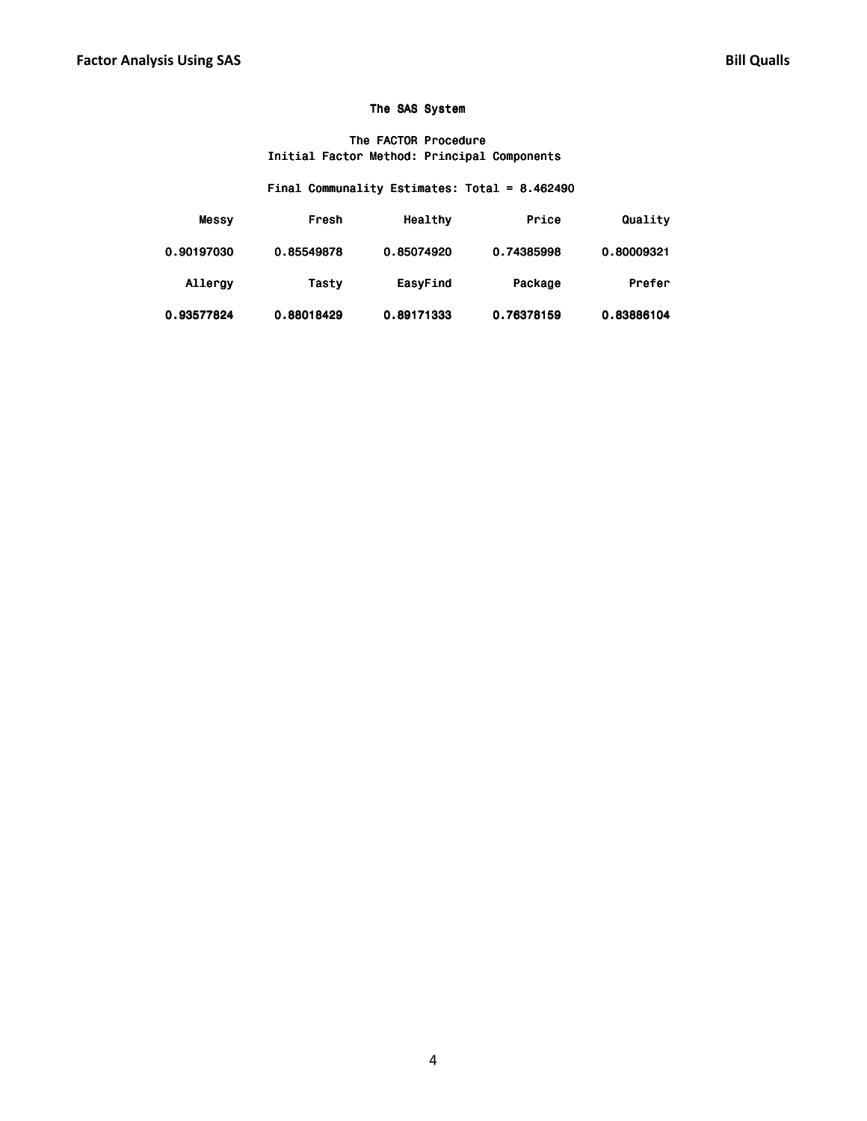### The FACTOR Procedure Initial Factor Method: Principal Components

# Final Communality Estimates: Total =  $8.462490$

| Quality    | Price      | Healthy    | Fresh      | Messy      |
|------------|------------|------------|------------|------------|
| 0.80009321 | 0.74385998 | 0.85074920 | 0.85549878 | 0.90197030 |
| Prefer     | Package    | EasyFind   | Tasty      | Allergy    |
| 0.83886104 | 0.76378159 | 0.89171333 | 0.88018429 | 0.93577824 |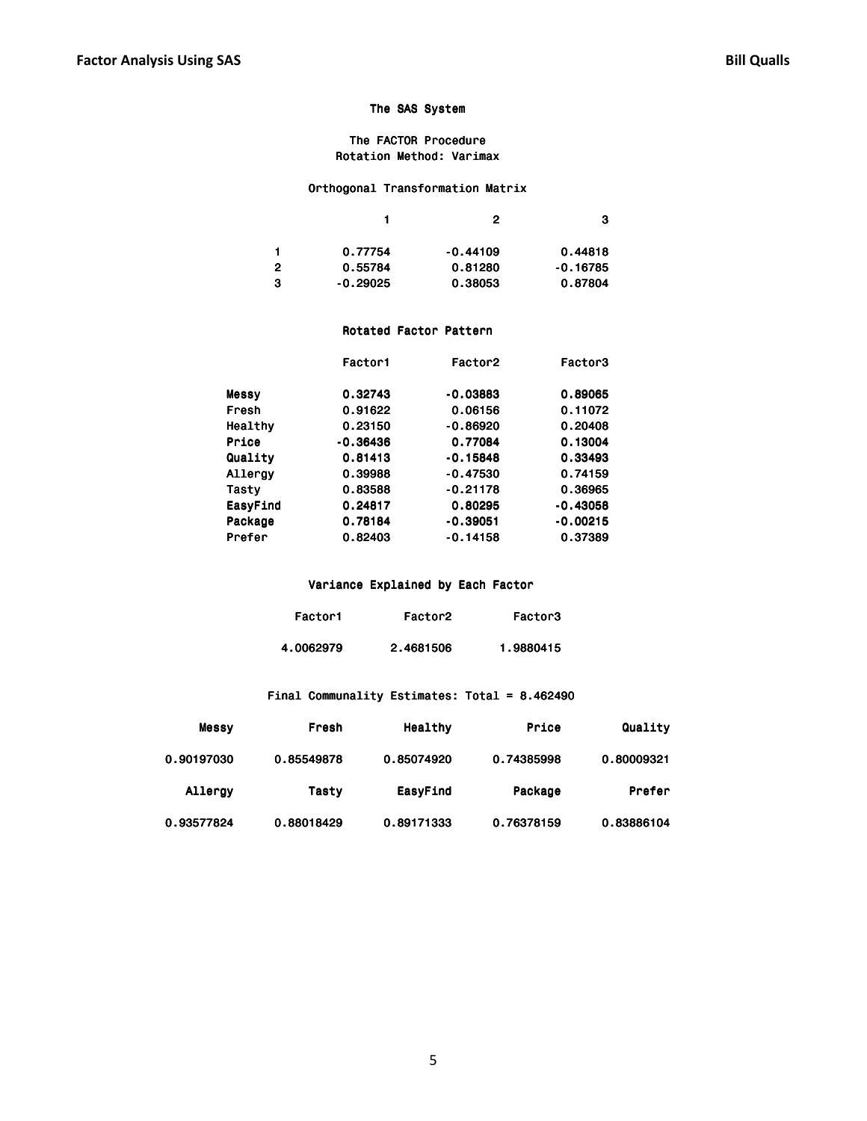### The FACTOR Procedure Rotation Method: Varimax

# Orthogonal Transformation Matrix

|   |            | 2          | з          |
|---|------------|------------|------------|
|   | 0.77754    | $-0.44109$ | 0.44818    |
| 2 | 0.55784    | 0.81280    | $-0.16785$ |
| з | $-0.29025$ | 0.38053    | 0.87804    |

### Rotated Factor Pattern

|          | Factor1    | Factor <sub>2</sub> | Factor3    |
|----------|------------|---------------------|------------|
| Messy    | 0.32743    | $-0.03883$          | 0.89065    |
| Fresh    | 0.91622    | 0.06156             | 0.11072    |
| Healthy  | 0.23150    | $-0.86920$          | 0.20408    |
| Price    | $-0.36436$ | 0.77084             | 0.13004    |
| Quality  | 0.81413    | $-0.15848$          | 0.33493    |
| Allergy  | 0.39988    | $-0.47530$          | 0.74159    |
| Tasty    | 0.83588    | $-0.21178$          | 0.36965    |
| EasyFind | 0.24817    | 0.80295             | $-0.43058$ |
| Package  | 0.78184    | $-0.39051$          | $-0.00215$ |
| Prefer   | 0.82403    | $-0.14158$          | 0.37389    |
|          |            |                     |            |

### Variance Explained by Each Factor

| Factor1   | Factor <sub>2</sub> | Factor3   |
|-----------|---------------------|-----------|
| 4.0062979 | 2.4681506           | 1.9880415 |

# Final Communality Estimates: Total =  $8.462490$

| Quality    | Price      | Healthy    | Fresh      | Messy      |
|------------|------------|------------|------------|------------|
| 0.80009321 | 0.74385998 | 0.85074920 | 0.85549878 | 0.90197030 |
| Prefer     | Package    | EasyFind   | Tasty      | Allergy    |
| 0.83886104 | 0.76378159 | 0.89171333 | 0.88018429 | 0.93577824 |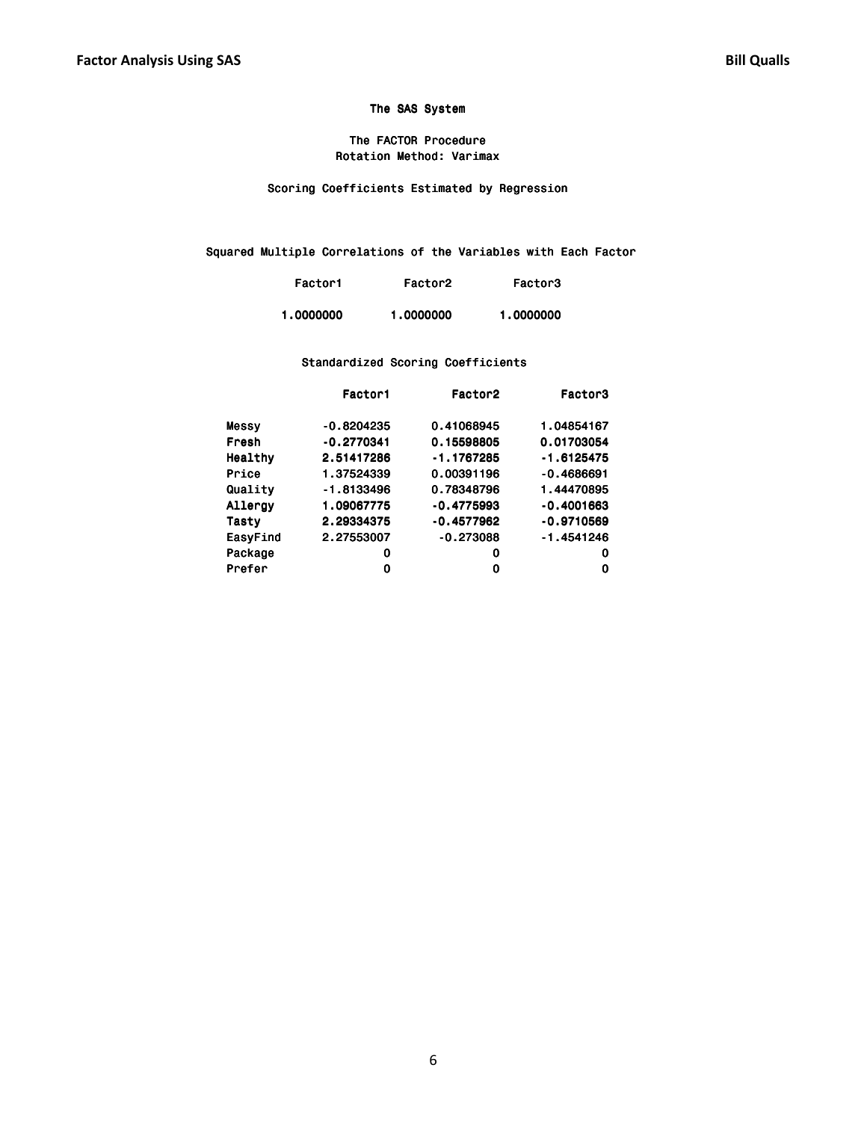### The FACTOR Procedure Rotation Method: Varimax

Scoring Coefficients Estimated by Regression

Squared Multiple Correlations of the Variables with Each Factor

| Factor1   | Factor <sub>2</sub> | Factor3   |
|-----------|---------------------|-----------|
| 1.0000000 | 1.0000000           | 1.0000000 |

### Standardized Scoring Coefficients

|          | Factor1      | Factor <sub>2</sub> | Factor3      |
|----------|--------------|---------------------|--------------|
| Messy    | $-0.8204235$ | 0.41068945          | 1.04854167   |
| Fresh    | $-0.2770341$ | 0.15598805          | 0.01703054   |
| Healthy  | 2.51417286   | $-1.1767285$        | $-1.6125475$ |
| Price    | 1.37524339   | 0.00391196          | $-0.4686691$ |
| Quality  | $-1.8133496$ | 0.78348796          | 1.44470895   |
| Allergy  | 1.09067775   | $-0.4775993$        | $-0.4001663$ |
| Tasty    | 2.29334375   | $-0.4577962$        | $-0.9710569$ |
| EasyFind | 2.27553007   | $-0.273088$         | $-1.4541246$ |
| Package  | 0            | 0                   | 0            |
| Prefer   | 0            | 0                   | 0            |